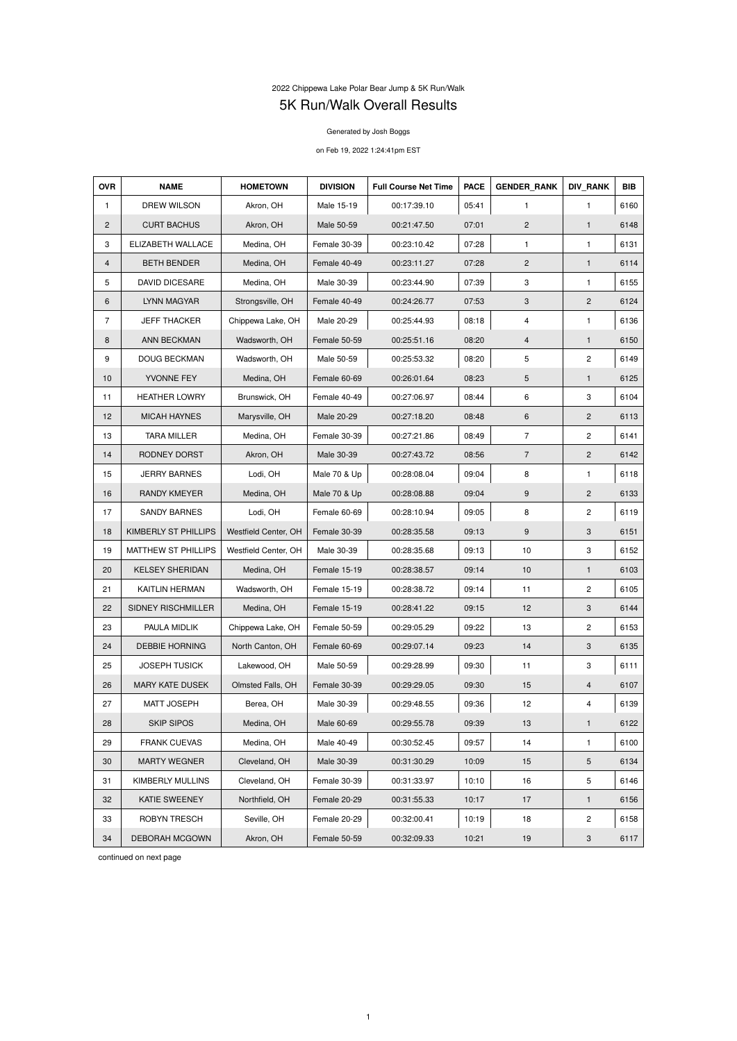## 2022 Chippewa Lake Polar Bear Jump & 5K Run/Walk 5K Run/Walk Overall Results

Generated by Josh Boggs

on Feb 19, 2022 1:24:41pm EST

| <b>OVR</b>     | <b>NAME</b>                | <b>HOMETOWN</b>      | <b>DIVISION</b> | <b>Full Course Net Time</b> | <b>PACE</b> | <b>GENDER RANK</b> | <b>DIV RANK</b>           | <b>BIB</b> |
|----------------|----------------------------|----------------------|-----------------|-----------------------------|-------------|--------------------|---------------------------|------------|
| $\mathbf{1}$   | DREW WILSON                | Akron, OH            | Male 15-19      | 00:17:39.10                 | 05:41       | $\mathbf{1}$       | $\mathbf{1}$              | 6160       |
| $\overline{2}$ | <b>CURT BACHUS</b>         | Akron, OH            | Male 50-59      | 00:21:47.50                 | 07:01       | $\overline{2}$     | $\mathbf{1}$              | 6148       |
| 3              | ELIZABETH WALLACE          | Medina, OH           | Female 30-39    | 00:23:10.42                 | 07:28       | 1                  | $\mathbf{1}$              | 6131       |
| $\overline{4}$ | <b>BETH BENDER</b>         | Medina, OH           | Female 40-49    | 00:23:11.27                 | 07:28       | $\overline{2}$     | $\mathbf{1}$              | 6114       |
| 5              | <b>DAVID DICESARE</b>      | Medina, OH           | Male 30-39      | 00:23:44.90                 | 07:39       | 3                  | $\mathbf{1}$              | 6155       |
| 6              | LYNN MAGYAR                | Strongsville, OH     | Female 40-49    | 00:24:26.77                 | 07:53       | 3                  | $\mathbf{2}$              | 6124       |
| $\overline{7}$ | <b>JEFF THACKER</b>        | Chippewa Lake, OH    | Male 20-29      | 00:25:44.93                 | 08:18       | 4                  | $\mathbf{1}$              | 6136       |
| 8              | ANN BECKMAN                | Wadsworth, OH        | Female 50-59    | 00:25:51.16                 | 08:20       | 4                  | $\mathbf{1}$              | 6150       |
| 9              | <b>DOUG BECKMAN</b>        | Wadsworth, OH        | Male 50-59      | 00:25:53.32                 | 08:20       | 5                  | $\mathbf{2}$              | 6149       |
| 10             | YVONNE FEY                 | Medina, OH           | Female 60-69    | 00:26:01.64                 | 08:23       | 5                  | $\mathbf{1}$              | 6125       |
| 11             | <b>HEATHER LOWRY</b>       | Brunswick, OH        | Female 40-49    | 00:27:06.97                 | 08:44       | 6                  | 3                         | 6104       |
| 12             | <b>MICAH HAYNES</b>        | Marysville, OH       | Male 20-29      | 00:27:18.20                 | 08:48       | 6                  | $\overline{2}$            | 6113       |
| 13             | <b>TARA MILLER</b>         | Medina, OH           | Female 30-39    | 00:27:21.86                 | 08:49       | $\overline{7}$     | $\mathbf{2}$              | 6141       |
| 14             | RODNEY DORST               | Akron, OH            | Male 30-39      | 00:27:43.72                 | 08:56       | $\overline{7}$     | $\overline{2}$            | 6142       |
| 15             | <b>JERRY BARNES</b>        | Lodi, OH             | Male 70 & Up    | 00:28:08.04                 | 09:04       | 8                  | $\mathbf{1}$              | 6118       |
| 16             | <b>RANDY KMEYER</b>        | Medina, OH           | Male 70 & Up    | 00:28:08.88                 | 09:04       | 9                  | $\overline{2}$            | 6133       |
| 17             | <b>SANDY BARNES</b>        | Lodi, OH             | Female 60-69    | 00:28:10.94                 | 09:05       | 8                  | $\overline{c}$            | 6119       |
| 18             | KIMBERLY ST PHILLIPS       | Westfield Center, OH | Female 30-39    | 00:28:35.58                 | 09:13       | 9                  | $\mathbf{3}$              | 6151       |
| 19             | <b>MATTHEW ST PHILLIPS</b> | Westfield Center, OH | Male 30-39      | 00:28:35.68                 | 09:13       | $10$               | 3                         | 6152       |
| 20             | <b>KELSEY SHERIDAN</b>     | Medina, OH           | Female 15-19    | 00:28:38.57                 | 09:14       | 10                 | $\mathbf{1}$              | 6103       |
| 21             | <b>KAITLIN HERMAN</b>      | Wadsworth, OH        | Female 15-19    | 00:28:38.72                 | 09:14       | 11                 | $\overline{2}$            | 6105       |
| 22             | SIDNEY RISCHMILLER         | Medina, OH           | Female 15-19    | 00:28:41.22                 | 09:15       | 12                 | $\mathbf{3}$              | 6144       |
| 23             | PAULA MIDLIK               | Chippewa Lake, OH    | Female 50-59    | 00:29:05.29                 | 09:22       | 13                 | $\overline{c}$            | 6153       |
| 24             | <b>DEBBIE HORNING</b>      | North Canton, OH     | Female 60-69    | 00:29:07.14                 | 09:23       | 14                 | $\mathbf{3}$              | 6135       |
| 25             | <b>JOSEPH TUSICK</b>       | Lakewood, OH         | Male 50-59      | 00:29:28.99                 | 09:30       | 11                 | $\ensuremath{\mathsf{3}}$ | 6111       |
| 26             | <b>MARY KATE DUSEK</b>     | Olmsted Falls, OH    | Female 30-39    | 00:29:29.05                 | 09:30       | 15                 | $\overline{4}$            | 6107       |
| 27             | MATT JOSEPH                | Berea, OH            | Male 30-39      | 00:29:48.55                 | 09:36       | 12                 | $\overline{\mathbf{4}}$   | 6139       |
| 28             | <b>SKIP SIPOS</b>          | Medina, OH           | Male 60-69      | 00:29:55.78                 | 09:39       | 13                 | $\mathbf{1}$              | 6122       |
| 29             | <b>FRANK CUEVAS</b>        | Medina, OH           | Male 40-49      | 00:30:52.45                 | 09:57       | 14                 | 1                         | 6100       |
| 30             | <b>MARTY WEGNER</b>        | Cleveland, OH        | Male 30-39      | 00:31:30.29                 | 10:09       | 15                 | $5\,$                     | 6134       |
| 31             | <b>KIMBERLY MULLINS</b>    | Cleveland, OH        | Female 30-39    | 00:31:33.97                 | 10:10       | 16                 | 5                         | 6146       |
| 32             | <b>KATIE SWEENEY</b>       | Northfield, OH       | Female 20-29    | 00:31:55.33                 | 10:17       | 17                 | $\mathbf{1}$              | 6156       |
| 33             | <b>ROBYN TRESCH</b>        | Seville, OH          | Female 20-29    | 00:32:00.41                 | 10:19       | 18                 | $\overline{2}$            | 6158       |
| 34             | DEBORAH MCGOWN             | Akron, OH            | Female 50-59    | 00:32:09.33                 | 10:21       | 19                 | $\ensuremath{\mathsf{3}}$ | 6117       |

continued on next page